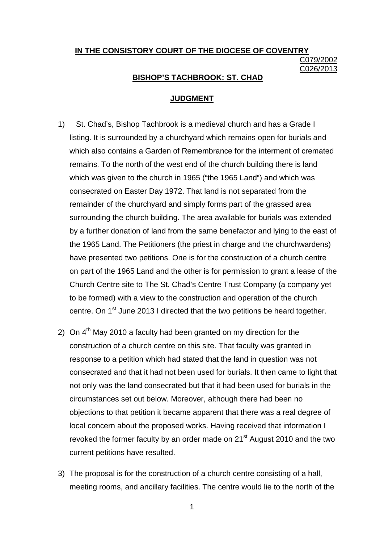# **IN THE CONSISTORY COURT OF THE DIOCESE OF COVENTRY** C079/2002 C026/2013

### **BISHOP'S TACHBROOK: ST. CHAD**

#### **JUDGMENT**

- 1) St. Chad's, Bishop Tachbrook is a medieval church and has a Grade I listing. It is surrounded by a churchyard which remains open for burials and which also contains a Garden of Remembrance for the interment of cremated remains. To the north of the west end of the church building there is land which was given to the church in 1965 ("the 1965 Land") and which was consecrated on Easter Day 1972. That land is not separated from the remainder of the churchyard and simply forms part of the grassed area surrounding the church building. The area available for burials was extended by a further donation of land from the same benefactor and lying to the east of the 1965 Land. The Petitioners (the priest in charge and the churchwardens) have presented two petitions. One is for the construction of a church centre on part of the 1965 Land and the other is for permission to grant a lease of the Church Centre site to The St. Chad's Centre Trust Company (a company yet to be formed) with a view to the construction and operation of the church centre. On 1<sup>st</sup> June 2013 I directed that the two petitions be heard together.
- 2) On  $4<sup>th</sup>$  Mav 2010 a faculty had been granted on my direction for the construction of a church centre on this site. That faculty was granted in response to a petition which had stated that the land in question was not consecrated and that it had not been used for burials. It then came to light that not only was the land consecrated but that it had been used for burials in the circumstances set out below. Moreover, although there had been no objections to that petition it became apparent that there was a real degree of local concern about the proposed works. Having received that information I revoked the former faculty by an order made on 21<sup>st</sup> August 2010 and the two current petitions have resulted.
- 3) The proposal is for the construction of a church centre consisting of a hall, meeting rooms, and ancillary facilities. The centre would lie to the north of the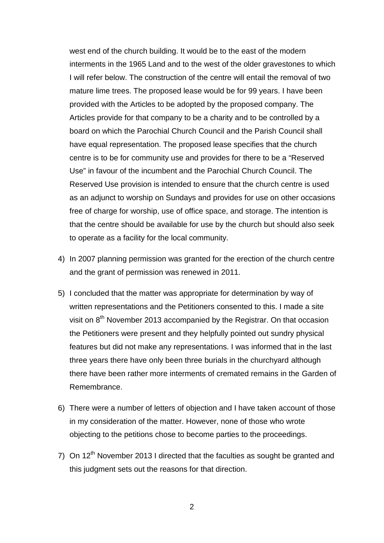west end of the church building. It would be to the east of the modern interments in the 1965 Land and to the west of the older gravestones to which I will refer below. The construction of the centre will entail the removal of two mature lime trees. The proposed lease would be for 99 years. I have been provided with the Articles to be adopted by the proposed company. The Articles provide for that company to be a charity and to be controlled by a board on which the Parochial Church Council and the Parish Council shall have equal representation. The proposed lease specifies that the church centre is to be for community use and provides for there to be a "Reserved Use" in favour of the incumbent and the Parochial Church Council. The Reserved Use provision is intended to ensure that the church centre is used as an adjunct to worship on Sundays and provides for use on other occasions free of charge for worship, use of office space, and storage. The intention is that the centre should be available for use by the church but should also seek to operate as a facility for the local community.

- 4) In 2007 planning permission was granted for the erection of the church centre and the grant of permission was renewed in 2011.
- 5) I concluded that the matter was appropriate for determination by way of written representations and the Petitioners consented to this. I made a site visit on  $8<sup>th</sup>$  November 2013 accompanied by the Registrar. On that occasion the Petitioners were present and they helpfully pointed out sundry physical features but did not make any representations. I was informed that in the last three years there have only been three burials in the churchyard although there have been rather more interments of cremated remains in the Garden of Remembrance.
- 6) There were a number of letters of objection and I have taken account of those in my consideration of the matter. However, none of those who wrote objecting to the petitions chose to become parties to the proceedings.
- 7) On  $12<sup>th</sup>$  November 2013 I directed that the faculties as sought be granted and this judgment sets out the reasons for that direction.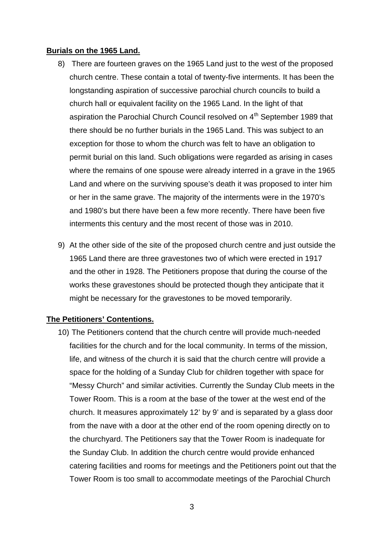### **Burials on the 1965 Land.**

- 8) There are fourteen graves on the 1965 Land just to the west of the proposed church centre. These contain a total of twenty-five interments. It has been the longstanding aspiration of successive parochial church councils to build a church hall or equivalent facility on the 1965 Land. In the light of that aspiration the Parochial Church Council resolved on 4<sup>th</sup> September 1989 that there should be no further burials in the 1965 Land. This was subject to an exception for those to whom the church was felt to have an obligation to permit burial on this land. Such obligations were regarded as arising in cases where the remains of one spouse were already interred in a grave in the 1965 Land and where on the surviving spouse's death it was proposed to inter him or her in the same grave. The majority of the interments were in the 1970's and 1980's but there have been a few more recently. There have been five interments this century and the most recent of those was in 2010.
- 9) At the other side of the site of the proposed church centre and just outside the 1965 Land there are three gravestones two of which were erected in 1917 and the other in 1928. The Petitioners propose that during the course of the works these gravestones should be protected though they anticipate that it might be necessary for the gravestones to be moved temporarily.

# **The Petitioners' Contentions.**

10) The Petitioners contend that the church centre will provide much-needed facilities for the church and for the local community. In terms of the mission, life, and witness of the church it is said that the church centre will provide a space for the holding of a Sunday Club for children together with space for "Messy Church" and similar activities. Currently the Sunday Club meets in the Tower Room. This is a room at the base of the tower at the west end of the church. It measures approximately 12' by 9' and is separated by a glass door from the nave with a door at the other end of the room opening directly on to the churchyard. The Petitioners say that the Tower Room is inadequate for the Sunday Club. In addition the church centre would provide enhanced catering facilities and rooms for meetings and the Petitioners point out that the Tower Room is too small to accommodate meetings of the Parochial Church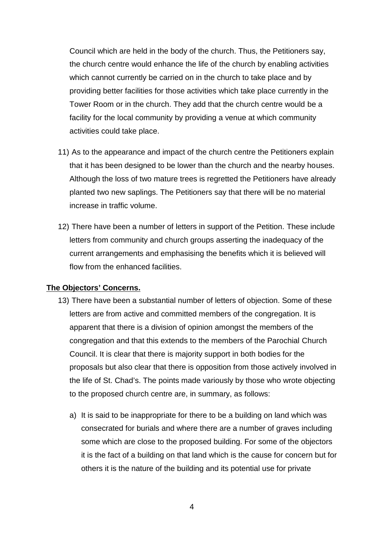Council which are held in the body of the church. Thus, the Petitioners say, the church centre would enhance the life of the church by enabling activities which cannot currently be carried on in the church to take place and by providing better facilities for those activities which take place currently in the Tower Room or in the church. They add that the church centre would be a facility for the local community by providing a venue at which community activities could take place.

- 11) As to the appearance and impact of the church centre the Petitioners explain that it has been designed to be lower than the church and the nearby houses. Although the loss of two mature trees is regretted the Petitioners have already planted two new saplings. The Petitioners say that there will be no material increase in traffic volume.
- 12) There have been a number of letters in support of the Petition. These include letters from community and church groups asserting the inadequacy of the current arrangements and emphasising the benefits which it is believed will flow from the enhanced facilities.

### **The Objectors' Concerns.**

- 13) There have been a substantial number of letters of objection. Some of these letters are from active and committed members of the congregation. It is apparent that there is a division of opinion amongst the members of the congregation and that this extends to the members of the Parochial Church Council. It is clear that there is majority support in both bodies for the proposals but also clear that there is opposition from those actively involved in the life of St. Chad's. The points made variously by those who wrote objecting to the proposed church centre are, in summary, as follows:
	- a) It is said to be inappropriate for there to be a building on land which was consecrated for burials and where there are a number of graves including some which are close to the proposed building. For some of the objectors it is the fact of a building on that land which is the cause for concern but for others it is the nature of the building and its potential use for private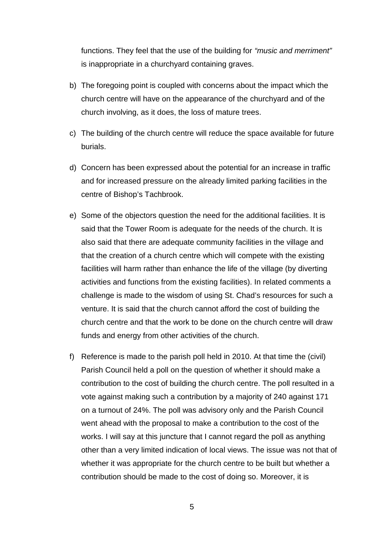functions. They feel that the use of the building for *"music and merriment"* is inappropriate in a churchyard containing graves.

- b) The foregoing point is coupled with concerns about the impact which the church centre will have on the appearance of the churchyard and of the church involving, as it does, the loss of mature trees.
- c) The building of the church centre will reduce the space available for future burials.
- d) Concern has been expressed about the potential for an increase in traffic and for increased pressure on the already limited parking facilities in the centre of Bishop's Tachbrook.
- e) Some of the objectors question the need for the additional facilities. It is said that the Tower Room is adequate for the needs of the church. It is also said that there are adequate community facilities in the village and that the creation of a church centre which will compete with the existing facilities will harm rather than enhance the life of the village (by diverting activities and functions from the existing facilities). In related comments a challenge is made to the wisdom of using St. Chad's resources for such a venture. It is said that the church cannot afford the cost of building the church centre and that the work to be done on the church centre will draw funds and energy from other activities of the church.
- f) Reference is made to the parish poll held in 2010. At that time the (civil) Parish Council held a poll on the question of whether it should make a contribution to the cost of building the church centre. The poll resulted in a vote against making such a contribution by a majority of 240 against 171 on a turnout of 24%. The poll was advisory only and the Parish Council went ahead with the proposal to make a contribution to the cost of the works. I will say at this juncture that I cannot regard the poll as anything other than a very limited indication of local views. The issue was not that of whether it was appropriate for the church centre to be built but whether a contribution should be made to the cost of doing so. Moreover, it is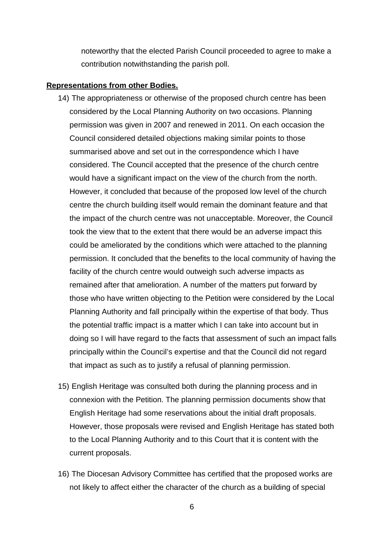noteworthy that the elected Parish Council proceeded to agree to make a contribution notwithstanding the parish poll.

#### **Representations from other Bodies.**

- 14) The appropriateness or otherwise of the proposed church centre has been considered by the Local Planning Authority on two occasions. Planning permission was given in 2007 and renewed in 2011. On each occasion the Council considered detailed objections making similar points to those summarised above and set out in the correspondence which I have considered. The Council accepted that the presence of the church centre would have a significant impact on the view of the church from the north. However, it concluded that because of the proposed low level of the church centre the church building itself would remain the dominant feature and that the impact of the church centre was not unacceptable. Moreover, the Council took the view that to the extent that there would be an adverse impact this could be ameliorated by the conditions which were attached to the planning permission. It concluded that the benefits to the local community of having the facility of the church centre would outweigh such adverse impacts as remained after that amelioration. A number of the matters put forward by those who have written objecting to the Petition were considered by the Local Planning Authority and fall principally within the expertise of that body. Thus the potential traffic impact is a matter which I can take into account but in doing so I will have regard to the facts that assessment of such an impact falls principally within the Council's expertise and that the Council did not regard that impact as such as to justify a refusal of planning permission.
- 15) English Heritage was consulted both during the planning process and in connexion with the Petition. The planning permission documents show that English Heritage had some reservations about the initial draft proposals. However, those proposals were revised and English Heritage has stated both to the Local Planning Authority and to this Court that it is content with the current proposals.
- 16) The Diocesan Advisory Committee has certified that the proposed works are not likely to affect either the character of the church as a building of special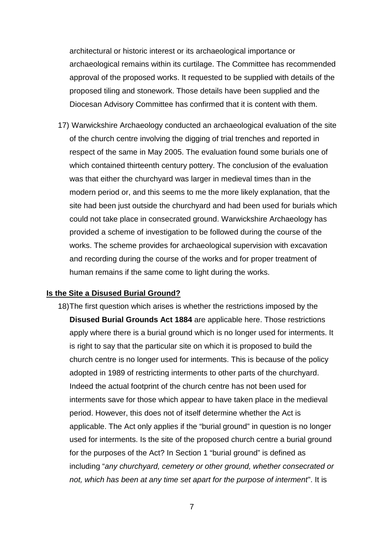architectural or historic interest or its archaeological importance or archaeological remains within its curtilage. The Committee has recommended approval of the proposed works. It requested to be supplied with details of the proposed tiling and stonework. Those details have been supplied and the Diocesan Advisory Committee has confirmed that it is content with them.

17) Warwickshire Archaeology conducted an archaeological evaluation of the site of the church centre involving the digging of trial trenches and reported in respect of the same in May 2005. The evaluation found some burials one of which contained thirteenth century pottery. The conclusion of the evaluation was that either the churchyard was larger in medieval times than in the modern period or, and this seems to me the more likely explanation, that the site had been just outside the churchyard and had been used for burials which could not take place in consecrated ground. Warwickshire Archaeology has provided a scheme of investigation to be followed during the course of the works. The scheme provides for archaeological supervision with excavation and recording during the course of the works and for proper treatment of human remains if the same come to light during the works.

#### **Is the Site a Disused Burial Ground?**

18)The first question which arises is whether the restrictions imposed by the **Disused Burial Grounds Act 1884** are applicable here. Those restrictions apply where there is a burial ground which is no longer used for interments. It is right to say that the particular site on which it is proposed to build the church centre is no longer used for interments. This is because of the policy adopted in 1989 of restricting interments to other parts of the churchyard. Indeed the actual footprint of the church centre has not been used for interments save for those which appear to have taken place in the medieval period. However, this does not of itself determine whether the Act is applicable. The Act only applies if the "burial ground" in question is no longer used for interments. Is the site of the proposed church centre a burial ground for the purposes of the Act? In Section 1 "burial ground" is defined as including "*any churchyard, cemetery or other ground, whether consecrated or not, which has been at any time set apart for the purpose of interment*". It is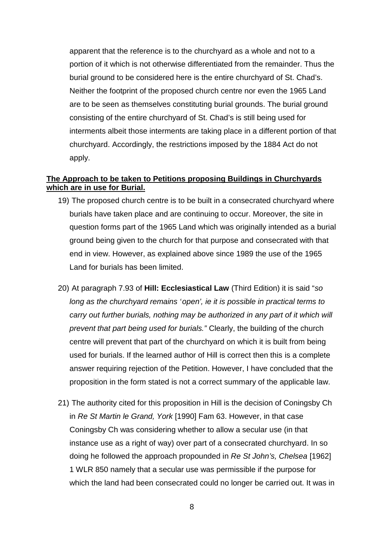apparent that the reference is to the churchyard as a whole and not to a portion of it which is not otherwise differentiated from the remainder. Thus the burial ground to be considered here is the entire churchyard of St. Chad's. Neither the footprint of the proposed church centre nor even the 1965 Land are to be seen as themselves constituting burial grounds. The burial ground consisting of the entire churchyard of St. Chad's is still being used for interments albeit those interments are taking place in a different portion of that churchyard. Accordingly, the restrictions imposed by the 1884 Act do not apply.

## **The Approach to be taken to Petitions proposing Buildings in Churchyards which are in use for Burial.**

- 19) The proposed church centre is to be built in a consecrated churchyard where burials have taken place and are continuing to occur. Moreover, the site in question forms part of the 1965 Land which was originally intended as a burial ground being given to the church for that purpose and consecrated with that end in view. However, as explained above since 1989 the use of the 1965 Land for burials has been limited.
- 20) At paragraph 7.93 of **Hill: Ecclesiastical Law** (Third Edition) it is said "*so long as the churchyard remains `open', ie it is possible in practical terms to carry out further burials, nothing may be authorized in any part of it which will prevent that part being used for burials."* Clearly, the building of the church centre will prevent that part of the churchyard on which it is built from being used for burials. If the learned author of Hill is correct then this is a complete answer requiring rejection of the Petition. However, I have concluded that the proposition in the form stated is not a correct summary of the applicable law.
- 21) The authority cited for this proposition in Hill is the decision of Coningsby Ch in *Re St Martin le Grand, York* [1990] Fam 63. However, in that case Coningsby Ch was considering whether to allow a secular use (in that instance use as a right of way) over part of a consecrated churchyard. In so doing he followed the approach propounded in *Re St John's, Chelsea* [1962] 1 WLR 850 namely that a secular use was permissible if the purpose for which the land had been consecrated could no longer be carried out. It was in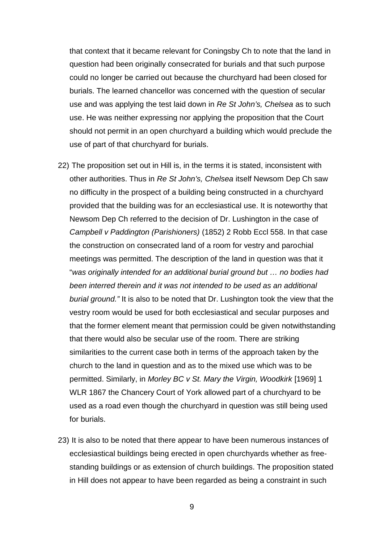that context that it became relevant for Coningsby Ch to note that the land in question had been originally consecrated for burials and that such purpose could no longer be carried out because the churchyard had been closed for burials. The learned chancellor was concerned with the question of secular use and was applying the test laid down in *Re St John's, Chelsea* as to such use. He was neither expressing nor applying the proposition that the Court should not permit in an open churchyard a building which would preclude the use of part of that churchyard for burials.

- 22) The proposition set out in Hill is, in the terms it is stated, inconsistent with other authorities. Thus in *Re St John's, Chelsea* itself Newsom Dep Ch saw no difficulty in the prospect of a building being constructed in a churchyard provided that the building was for an ecclesiastical use. It is noteworthy that Newsom Dep Ch referred to the decision of Dr. Lushington in the case of *Campbell v Paddington (Parishioners)* (1852) 2 Robb Eccl 558. In that case the construction on consecrated land of a room for vestry and parochial meetings was permitted. The description of the land in question was that it "*was originally intended for an additional burial ground but … no bodies had been interred therein and it was not intended to be used as an additional burial ground."* It is also to be noted that Dr. Lushington took the view that the vestry room would be used for both ecclesiastical and secular purposes and that the former element meant that permission could be given notwithstanding that there would also be secular use of the room. There are striking similarities to the current case both in terms of the approach taken by the church to the land in question and as to the mixed use which was to be permitted. Similarly, in *Morley BC v St. Mary the Virgin, Woodkirk* [1969] 1 WLR 1867 the Chancery Court of York allowed part of a churchyard to be used as a road even though the churchyard in question was still being used for burials.
- 23) It is also to be noted that there appear to have been numerous instances of ecclesiastical buildings being erected in open churchyards whether as free standing buildings or as extension of church buildings. The proposition stated in Hill does not appear to have been regarded as being a constraint in such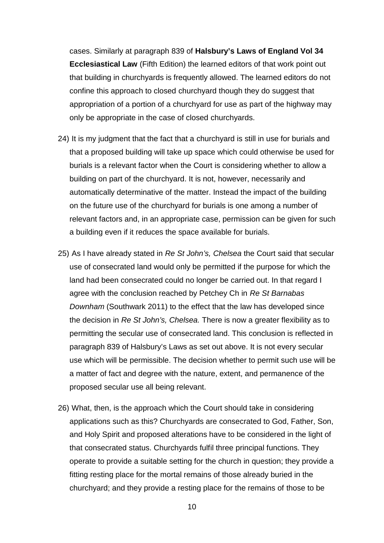cases. Similarly at paragraph 839 of **Halsbury's Laws of England Vol 34 Ecclesiastical Law** (Fifth Edition) the learned editors of that work point out that building in churchyards is frequently allowed. The learned editors do not confine this approach to closed churchyard though they do suggest that appropriation of a portion of a churchyard for use as part of the highway may only be appropriate in the case of closed churchyards.

- 24) It is my judgment that the fact that a churchyard is still in use for burials and that a proposed building will take up space which could otherwise be used for burials is a relevant factor when the Court is considering whether to allow a building on part of the churchyard. It is not, however, necessarily and automatically determinative of the matter. Instead the impact of the building on the future use of the churchyard for burials is one among a number of relevant factors and, in an appropriate case, permission can be given for such a building even if it reduces the space available for burials.
- 25) As I have already stated in *Re St John's, Chelsea* the Court said that secular use of consecrated land would only be permitted if the purpose for which the land had been consecrated could no longer be carried out. In that regard I agree with the conclusion reached by Petchey Ch in *Re St Barnabas Downham* (Southwark 2011) to the effect that the law has developed since the decision in *Re St John's, Chelsea.* There is now a greater flexibility as to permitting the secular use of consecrated land. This conclusion is reflected in paragraph 839 of Halsbury's Laws as set out above. It is not every secular use which will be permissible. The decision whether to permit such use will be a matter of fact and degree with the nature, extent, and permanence of the proposed secular use all being relevant.
- 26) What, then, is the approach which the Court should take in considering applications such as this? Churchyards are consecrated to God, Father, Son, and Holy Spirit and proposed alterations have to be considered in the light of that consecrated status. Churchyards fulfil three principal functions. They operate to provide a suitable setting for the church in question; they provide a fitting resting place for the mortal remains of those already buried in the churchyard; and they provide a resting place for the remains of those to be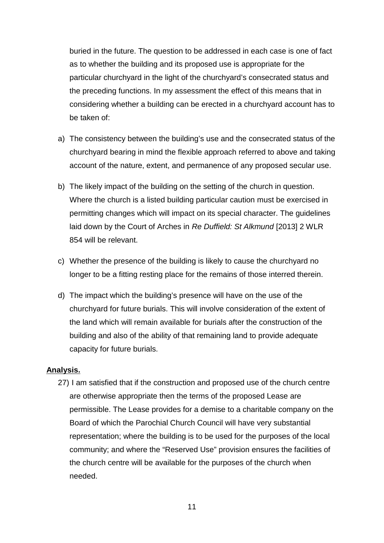buried in the future. The question to be addressed in each case is one of fact as to whether the building and its proposed use is appropriate for the particular churchyard in the light of the churchyard's consecrated status and the preceding functions. In my assessment the effect of this means that in considering whether a building can be erected in a churchyard account has to be taken of:

- a) The consistency between the building's use and the consecrated status of the churchyard bearing in mind the flexible approach referred to above and taking account of the nature, extent, and permanence of any proposed secular use.
- b) The likely impact of the building on the setting of the church in question. Where the church is a listed building particular caution must be exercised in permitting changes which will impact on its special character. The guidelines laid down by the Court of Arches in *Re Duffield: St Alkmund* [2013] 2 WLR 854 will be relevant.
- c) Whether the presence of the building is likely to cause the churchyard no longer to be a fitting resting place for the remains of those interred therein.
- d) The impact which the building's presence will have on the use of the churchyard for future burials. This will involve consideration of the extent of the land which will remain available for burials after the construction of the building and also of the ability of that remaining land to provide adequate capacity for future burials.

### **Analysis.**

27) I am satisfied that if the construction and proposed use of the church centre are otherwise appropriate then the terms of the proposed Lease are permissible. The Lease provides for a demise to a charitable company on the Board of which the Parochial Church Council will have very substantial representation; where the building is to be used for the purposes of the local community; and where the "Reserved Use" provision ensures the facilities of the church centre will be available for the purposes of the church when needed.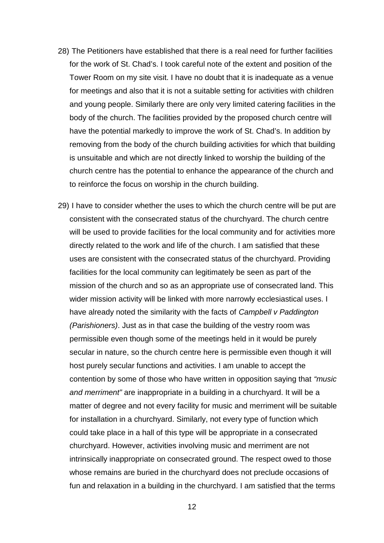- 28) The Petitioners have established that there is a real need for further facilities for the work of St. Chad's. I took careful note of the extent and position of the Tower Room on my site visit. I have no doubt that it is inadequate as a venue for meetings and also that it is not a suitable setting for activities with children and young people. Similarly there are only very limited catering facilities in the body of the church. The facilities provided by the proposed church centre will have the potential markedly to improve the work of St. Chad's. In addition by removing from the body of the church building activities for which that building is unsuitable and which are not directly linked to worship the building of the church centre has the potential to enhance the appearance of the church and to reinforce the focus on worship in the church building.
- 29) I have to consider whether the uses to which the church centre will be put are consistent with the consecrated status of the churchyard. The church centre will be used to provide facilities for the local community and for activities more directly related to the work and life of the church. I am satisfied that these uses are consistent with the consecrated status of the churchyard. Providing facilities for the local community can legitimately be seen as part of the mission of the church and so as an appropriate use of consecrated land. This wider mission activity will be linked with more narrowly ecclesiastical uses. I have already noted the similarity with the facts of *Campbell v Paddington (Parishioners)*. Just as in that case the building of the vestry room was permissible even though some of the meetings held in it would be purely secular in nature, so the church centre here is permissible even though it will host purely secular functions and activities. I am unable to accept the contention by some of those who have written in opposition saying that *"music and merriment"* are inappropriate in a building in a churchyard. It will be a matter of degree and not every facility for music and merriment will be suitable for installation in a churchyard. Similarly, not every type of function which could take place in a hall of this type will be appropriate in a consecrated churchyard. However, activities involving music and merriment are not intrinsically inappropriate on consecrated ground. The respect owed to those whose remains are buried in the churchyard does not preclude occasions of fun and relaxation in a building in the churchyard. I am satisfied that the terms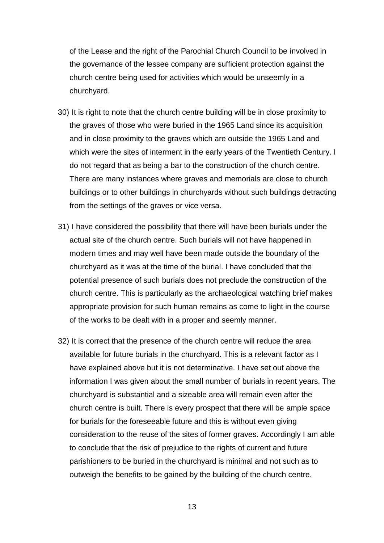of the Lease and the right of the Parochial Church Council to be involved in the governance of the lessee company are sufficient protection against the church centre being used for activities which would be unseemly in a churchyard.

- 30) It is right to note that the church centre building will be in close proximity to the graves of those who were buried in the 1965 Land since its acquisition and in close proximity to the graves which are outside the 1965 Land and which were the sites of interment in the early years of the Twentieth Century. I do not regard that as being a bar to the construction of the church centre. There are many instances where graves and memorials are close to church buildings or to other buildings in churchyards without such buildings detracting from the settings of the graves or vice versa.
- 31) I have considered the possibility that there will have been burials under the actual site of the church centre. Such burials will not have happened in modern times and may well have been made outside the boundary of the churchyard as it was at the time of the burial. I have concluded that the potential presence of such burials does not preclude the construction of the church centre. This is particularly as the archaeological watching brief makes appropriate provision for such human remains as come to light in the course of the works to be dealt with in a proper and seemly manner.
- 32) It is correct that the presence of the church centre will reduce the area available for future burials in the churchyard. This is a relevant factor as I have explained above but it is not determinative. I have set out above the information I was given about the small number of burials in recent years. The churchyard is substantial and a sizeable area will remain even after the church centre is built. There is every prospect that there will be ample space for burials for the foreseeable future and this is without even giving consideration to the reuse of the sites of former graves. Accordingly I am able to conclude that the risk of prejudice to the rights of current and future parishioners to be buried in the churchyard is minimal and not such as to outweigh the benefits to be gained by the building of the church centre.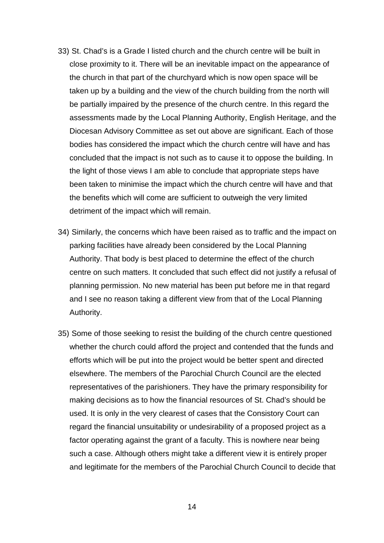- 33) St. Chad's is a Grade I listed church and the church centre will be built in close proximity to it. There will be an inevitable impact on the appearance of the church in that part of the churchyard which is now open space will be taken up by a building and the view of the church building from the north will be partially impaired by the presence of the church centre. In this regard the assessments made by the Local Planning Authority, English Heritage, and the Diocesan Advisory Committee as set out above are significant. Each of those bodies has considered the impact which the church centre will have and has concluded that the impact is not such as to cause it to oppose the building. In the light of those views I am able to conclude that appropriate steps have been taken to minimise the impact which the church centre will have and that the benefits which will come are sufficient to outweigh the very limited detriment of the impact which will remain.
- 34) Similarly, the concerns which have been raised as to traffic and the impact on parking facilities have already been considered by the Local Planning Authority. That body is best placed to determine the effect of the church centre on such matters. It concluded that such effect did not justify a refusal of planning permission. No new material has been put before me in that regard and I see no reason taking a different view from that of the Local Planning Authority.
- 35) Some of those seeking to resist the building of the church centre questioned whether the church could afford the project and contended that the funds and efforts which will be put into the project would be better spent and directed elsewhere. The members of the Parochial Church Council are the elected representatives of the parishioners. They have the primary responsibility for making decisions as to how the financial resources of St. Chad's should be used. It is only in the very clearest of cases that the Consistory Court can regard the financial unsuitability or undesirability of a proposed project as a factor operating against the grant of a faculty. This is nowhere near being such a case. Although others might take a different view it is entirely proper and legitimate for the members of the Parochial Church Council to decide that